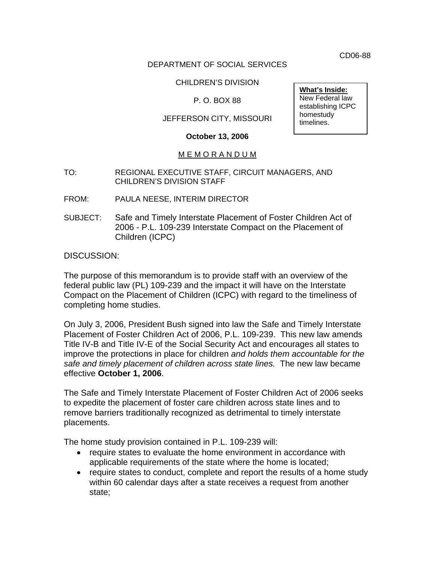CD06-88

## DEPARTMENT OF SOCIAL SERVICES

## CHILDREN'S DIVISION

## P. O. BOX 88

## JEFFERSON CITY, MISSOURI

#### **October 13, 2006**

### M E M O R A N D U M

- TO: REGIONAL EXECUTIVE STAFF, CIRCUIT MANAGERS, AND CHILDREN'S DIVISION STAFF
- FROM: PAULA NEESE, INTERIM DIRECTOR
- SUBJECT: Safe and Timely Interstate Placement of Foster Children Act of 2006 - P.L. 109-239 Interstate Compact on the Placement of Children (ICPC)

DISCUSSION:

The purpose of this memorandum is to provide staff with an overview of the federal public law (PL) 109-239 and the impact it will have on the Interstate Compact on the Placement of Children (ICPC) with regard to the timeliness of completing home studies.

On July 3, 2006, President Bush signed into law the Safe and Timely Interstate Placement of Foster Children Act of 2006, P.L. 109-239. This new law amends Title IV-B and Title IV-E of the Social Security Act and encourages all states to improve the protections in place for children *and holds them accountable for the safe and timely placement of children across state lines.* The new law became effective **October 1, 2006**.

The Safe and Timely Interstate Placement of Foster Children Act of 2006 seeks to expedite the placement of foster care children across state lines and to remove barriers traditionally recognized as detrimental to timely interstate placements.

The home study provision contained in P.L. 109-239 will:

- require states to evaluate the home environment in accordance with applicable requirements of the state where the home is located;
- require states to conduct, complete and report the results of a home study within 60 calendar days after a state receives a request from another state;

**What's Inside:** New Federal law establishing ICPC homestudy timelines.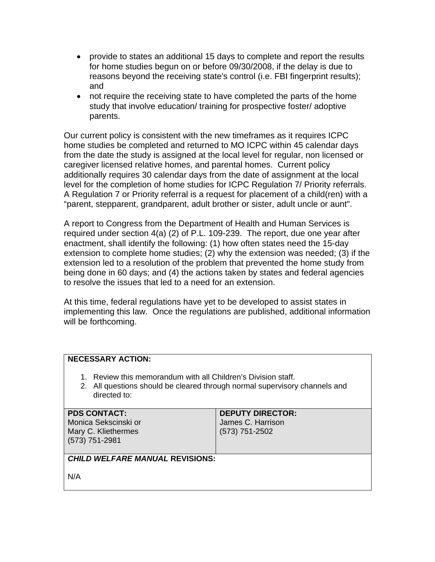- provide to states an additional 15 days to complete and report the results for home studies begun on or before 09/30/2008, if the delay is due to reasons beyond the receiving state's control (i.e. FBI fingerprint results); and
- not require the receiving state to have completed the parts of the home study that involve education/ training for prospective foster/ adoptive parents.

Our current policy is consistent with the new timeframes as it requires ICPC home studies be completed and returned to MO ICPC within 45 calendar days from the date the study is assigned at the local level for regular, non licensed or caregiver licensed relative homes, and parental homes. Current policy additionally requires 30 calendar days from the date of assignment at the local level for the completion of home studies for ICPC Regulation 7/ Priority referrals. A Regulation 7 or Priority referral is a request for placement of a child(ren) with a "parent, stepparent, grandparent, adult brother or sister, adult uncle or aunt".

A report to Congress from the Department of Health and Human Services is required under section 4(a) (2) of P.L. 109-239. The report, due one year after enactment, shall identify the following: (1) how often states need the 15-day extension to complete home studies; (2) why the extension was needed; (3) if the extension led to a resolution of the problem that prevented the home study from being done in 60 days; and (4) the actions taken by states and federal agencies to resolve the issues that led to a need for an extension.

At this time, federal regulations have yet to be developed to assist states in implementing this law. Once the regulations are published, additional information will be forthcoming.

## **NECESSARY ACTION:**

- 1. Review this memorandum with all Children's Division staff.
- 2. All questions should be cleared through normal supervisory channels and directed to:

### **PDS CONTACT:**

Monica Sekscinski or Mary C. Kliethermes (573) 751-2981

#### **DEPUTY DIRECTOR:**  James C. Harrison (573) 751-2502

# *CHILD WELFARE MANUAL* **REVISIONS:**

N/A